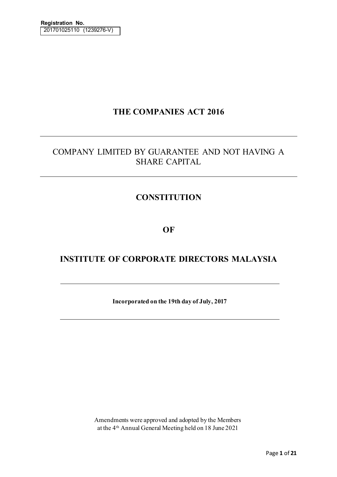# **THE COMPANIES ACT 2016**

# COMPANY LIMITED BY GUARANTEE AND NOT HAVING A SHARE CAPITAL

# **CONSTITUTION**

# **OF**

# **INSTITUTE OF CORPORATE DIRECTORS MALAYSIA**

**Incorporated on the 19th day of July, 2017**

Amendments were approved and adopted by the Members at the 4th Annual General Meeting held on 18 June 2021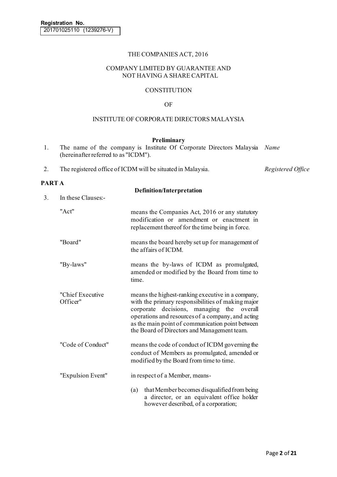## THE COMPANIES ACT, 2016

#### COMPANY LIMITED BY GUARANTEE AND NOT HAVING A SHARE CAPITAL

### **CONSTITUTION**

### OF

#### INSTITUTE OF CORPORATE DIRECTORS MALAYSIA

#### **Preliminary**

- 1. The name of the company is Institute Of Corporate Directors Malaysia *Name* (hereinafter referred to as "ICDM").
- 2. The registered office of ICDM will be situated in Malaysia. *Registered Office*

#### **PART A**

|    |                              | <b>Definition/Interpretation</b>                                                                                                                                                                                                                                                                            |
|----|------------------------------|-------------------------------------------------------------------------------------------------------------------------------------------------------------------------------------------------------------------------------------------------------------------------------------------------------------|
| 3. | In these Clauses:-           |                                                                                                                                                                                                                                                                                                             |
|    | "Act"                        | means the Companies Act, 2016 or any statutory<br>modification or amendment or enactment in<br>replacement thereof for the time being in force.                                                                                                                                                             |
|    | "Board"                      | means the board hereby set up for management of<br>the affairs of ICDM.                                                                                                                                                                                                                                     |
|    | "By-laws"                    | means the by-laws of ICDM as promulgated,<br>amended or modified by the Board from time to<br>time.                                                                                                                                                                                                         |
|    | "Chief Executive<br>Officer" | means the highest-ranking executive in a company,<br>with the primary responsibilities of making major<br>corporate decisions, managing the overall<br>operations and resources of a company, and acting<br>as the main point of communication point between<br>the Board of Directors and Management team. |
|    | "Code of Conduct"            | means the code of conduct of ICDM governing the<br>conduct of Members as promulgated, amended or<br>modified by the Board from time to time.                                                                                                                                                                |
|    | "Expulsion Event"            | in respect of a Member, means-                                                                                                                                                                                                                                                                              |
|    |                              | that Member becomes disqualified from being<br>(a)<br>a director, or an equivalent office holder<br>however described, of a corporation;                                                                                                                                                                    |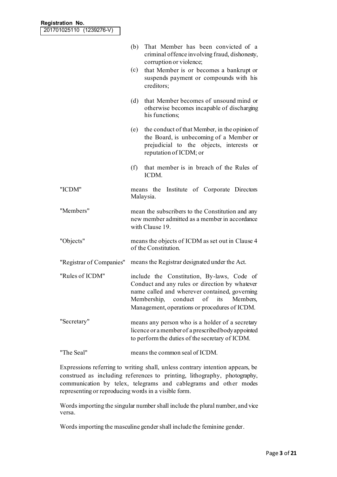|                          | That Member has been convicted of a<br>(b)<br>criminal offence involving fraud, dishonesty,<br>corruption or violence;                                                                                                                |
|--------------------------|---------------------------------------------------------------------------------------------------------------------------------------------------------------------------------------------------------------------------------------|
|                          | that Member is or becomes a bankrupt or<br>(c)<br>suspends payment or compounds with his<br>creditors;                                                                                                                                |
|                          | that Member becomes of unsound mind or<br>(d)<br>otherwise becomes incapable of discharging<br>his functions;                                                                                                                         |
|                          | the conduct of that Member, in the opinion of<br>(e)<br>the Board, is unbecoming of a Member or<br>prejudicial to the objects, interests or<br>reputation of ICDM; or                                                                 |
|                          | that member is in breach of the Rules of<br>(f)<br>ICDM.                                                                                                                                                                              |
| "ICDM"                   | means the Institute of Corporate Directors<br>Malaysia.                                                                                                                                                                               |
| "Members"                | mean the subscribers to the Constitution and any<br>new member admitted as a member in accordance<br>with Clause 19.                                                                                                                  |
| "Objects"                | means the objects of ICDM as set out in Clause 4<br>of the Constitution.                                                                                                                                                              |
| "Registrar of Companies" | means the Registrar designated under the Act.                                                                                                                                                                                         |
| "Rules of ICDM"          | include the Constitution, By-laws, Code of<br>Conduct and any rules or direction by whatever<br>name called and wherever contained, governing<br>Membership, conduct of its Members,<br>Management, operations or procedures of ICDM. |
| "Secretary"              | means any person who is a holder of a secretary<br>licence or a member of a prescribed body appointed<br>to perform the duties of the secretary of ICDM.                                                                              |
| "The Seal"               | means the common seal of ICDM.                                                                                                                                                                                                        |

Expressions referring to writing shall, unless contrary intention appears, be construed as including references to printing, lithography, photography, communication by telex, telegrams and cablegrams and other modes representing or reproducing words in a visible form.

Words importing the singular number shall include the plural number, and vice versa.

Words importing the masculine gender shall include the feminine gender.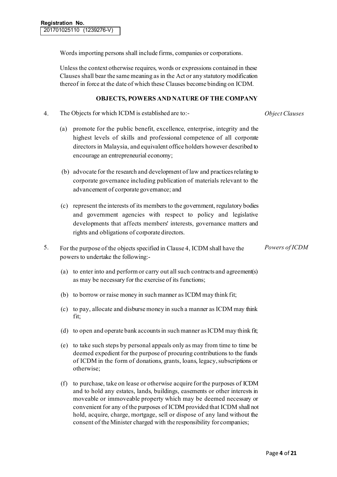Words importing persons shall include firms, companies or corporations.

Unless the context otherwise requires, words or expressions contained in these Clauses shall bear the same meaning as in the Act or any statutory modification thereof in force at the date of which these Clauses become binding on ICDM.

#### **OBJECTS, POWERS AND NATURE OF THE COMPANY**

4. The Objects for which ICDM is established are to:- *Object Clauses*

*Powers of ICDM*

- (a) promote for the public benefit, excellence, enterprise, integrity and the highest levels of skills and professional competence of all corporate directors in Malaysia, and equivalent office holders however described to encourage an entrepreneurial economy;
- (b) advocate for the research and development of law and practices relating to corporate governance including publication of materials relevant to the advancement of corporate governance; and
- (c) represent the interests of its members to the government, regulatory bodies and government agencies with respect to policy and legislative developments that affects members' interests, governance matters and rights and obligations of corporate directors.
- 5. For the purpose of the objects specified in Clause 4, ICDM shall have the powers to undertake the following:-
	- (a) to enter into and perform or carry out all such contracts and agreement(s) as may be necessary for the exercise of its functions;
	- (b) to borrow or raise money in such manner as ICDM may think fit;
	- (c) to pay, allocate and disburse money in such a manner as ICDM may think fit;
	- (d) to open and operate bank accounts in such manner as ICDM may think fit;
	- (e) to take such steps by personal appeals only as may from time to time be deemed expedient for the purpose of procuring contributions to the funds of ICDM in the form of donations, grants, loans, legacy, subscriptions or otherwise;
	- (f) to purchase, take on lease or otherwise acquire for the purposes of ICDM and to hold any estates, lands, buildings, easements or other interests in moveable or immoveable property which may be deemed necessary or convenient for any of the purposes of ICDM provided that ICDM shall not hold, acquire, charge, mortgage, sell or dispose of any land without the consent of the Minister charged with the responsibility for companies;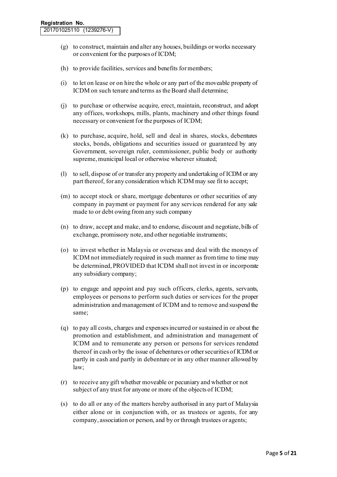- (g) to construct, maintain and alter any houses, buildings or works necessary or convenient for the purposes of ICDM;
- (h) to provide facilities, services and benefits for members;
- (i) to let on lease or on hire the whole or any part of the moveable property of ICDM on such tenure and terms as the Board shall determine;
- (j) to purchase or otherwise acquire, erect, maintain, reconstruct, and adopt any offices, workshops, mills, plants, machinery and other things found necessary or convenient for the purposes of ICDM;
- (k) to purchase, acquire, hold, sell and deal in shares, stocks, debentures stocks, bonds, obligations and securities issued or guaranteed by any Government, sovereign ruler, commissioner, public body or authority supreme, municipal local or otherwise wherever situated;
- (l) to sell, dispose of or transfer any property and undertaking of ICDM or any part thereof, for any consideration which ICDM may see fit to accept;
- (m) to accept stock or share, mortgage debentures or other securities of any company in payment or payment for any services rendered for any sale made to or debt owing from any such company
- (n) to draw, accept and make, and to endorse, discount and negotiate, bills of exchange, promissory note, and other negotiable instruments;
- (o) to invest whether in Malaysia or overseas and deal with the moneys of ICDM not immediately required in such manner as from time to time may be determined, PROVIDED that ICDM shall not invest in or incorporate any subsidiary company;
- (p) to engage and appoint and pay such officers, clerks, agents, servants, employees or persons to perform such duties or services for the proper administration and management of ICDM and to remove and suspend the same;
- (q) to pay all costs, charges and expenses incurred or sustained in or about the promotion and establishment, and administration and management of ICDM and to remunerate any person or persons for services rendered thereof in cash or by the issue of debentures or other securities of ICDM or partly in cash and partly in debenture or in any other manner allowed by law;
- (r) to receive any gift whether moveable or pecuniary and whether or not subject of any trust for anyone or more of the objects of ICDM;
- (s) to do all or any of the matters hereby authorised in any part of Malaysia either alone or in conjunction with, or as trustees or agents, for any company, association or person, and by or through trustees or agents;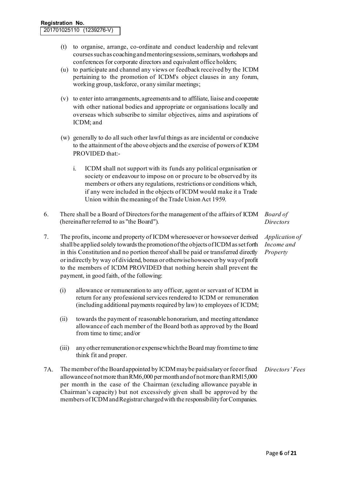- (t) to organise, arrange, co-ordinate and conduct leadership and relevant courses such as coaching and mentoring sessions, seminars, workshops and conferences for corporate directors and equivalent office holders;
- (u) to participate and channel any views or feedback received by the ICDM pertaining to the promotion of ICDM's object clauses in any forum, working group, taskforce, or any similar meetings;
- (v) to enter into arrangements, agreements and to affiliate, liaise and cooperate with other national bodies and appropriate or organisations locally and overseas which subscribe to similar objectives, aims and aspirations of ICDM; and
- (w) generally to do all such other lawful things as are incidental or conducive to the attainment of the above objects and the exercise of powers of ICDM PROVIDED that:
	- i. ICDM shall not support with its funds any political organisation or society or endeavour to impose on or procure to be observed by its members or others any regulations, restrictions or conditions which, if any were included in the objects of ICDM would make it a Trade Union within the meaning of the Trade Union Act 1959.
- 6. There shall be a Board of Directors for the management of the affairs of ICDM (hereinafter referred to as "the Board"). *Board of Directors*
- 7. The profits, income and property of ICDM wheresoever or howsoever derived shall be applied solely towards the promotion of the objects of ICDM as set forth in this Constitution and no portion thereof shall be paid or transferred directly or indirectly by way of dividend, bonus or otherwise howsoever by way of profit to the members of ICDM PROVIDED that nothing herein shall prevent the payment, in good faith, of the following:
	- (i) allowance or remuneration to any officer, agent or servant of ICDM in return for any professional services rendered to ICDM or remuneration (including additional payments required by law) to employees of ICDM;
	- (ii) towards the payment of reasonable honorarium, and meeting attendance allowance of each member of the Board both as approved by the Board from time to time; and/or
	- (iii) any other remuneration or expense which the Board may from time to time think fit and proper.
- 7A. The member of the Board appointed by ICDM may be paid salary or fee or fixed allowance of not more than RM6,000 per month and of not more than RM15,000 per month in the case of the Chairman (excluding allowance payable in Chairman's capacity) but not excessively given shall be approved by the members of ICDM and Registrar charged with the responsibility for Companies. *Directors' Fees*

*Application of Income and Property*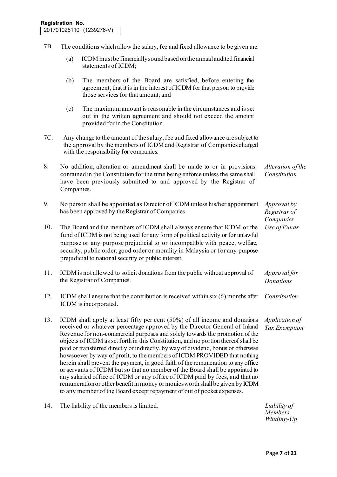- 7B. The conditions which allow the salary, fee and fixed allowance to be given are:
	- (a) ICDM must be financially sound based on the annual audited financial statements of ICDM;
	- (b) The members of the Board are satisfied, before entering the agreement, that it is in the interest of ICDM for that person to provide those services for that amount; and
	- (c) The maximum amount is reasonable in the circumstances and is set out in the written agreement and should not exceed the amount provided for in the Constitution.
- 7C. Any change to the amount of the salary, fee and fixed allowance are subject to the approval by the members of ICDM and Registrar of Companies charged with the responsibility for companies.
- 8. No addition, alteration or amendment shall be made to or in provisions contained in the Constitution for the time being enforce unless the same shall have been previously submitted to and approved by the Registrar of Companies. *Alteration of the Constitution*
- 9. No person shall be appointed as Director of ICDM unless his/her appointment has been approved by the Registrar of Companies. *Approval by Registrar of Companies*  10. The Board and the members of ICDM shall always ensure that ICDM or the *Use of Funds*
- fund of ICDM is not being used for any form of political activity or for unlawful purpose or any purpose prejudicial to or incompatible with peace, welfare, security, public order, good order or morality in Malaysia or for any purpose prejudicial to national security or public interest.
- 11. ICDM is not allowed to solicit donations from the public without approval of the Registrar of Companies. *Approval for Donations*
- 12. ICDM shall ensure that the contribution is received within six (6) months after ICDM is incorporated. *Contribution*
- 13. ICDM shall apply at least fifty per cent (50%) of all income and donations received or whatever percentage approved by the Director General of Inland Revenue for non-commercial purposes and solely towards the promotion of the objects of ICDM as set forth in this Constitution, and no portion thereof shall be paid or transferred directly or indirectly, by way of dividend, bonus or otherwise howsoever by way of profit, to the members of ICDM PROVIDED that nothing herein shall prevent the payment, in good faith of the remuneration to any office or servants of ICDM but so that no member of the Board shall be appointed to any salaried office of ICDM or any office of ICDM paid by fees, and that no remuneration or other benefit in money or monies worth shall be given by ICDM to any member of the Board except repayment of out of pocket expenses. *Application of Tax Exemption*
- 14. The liability of the members is limited. *Liability of*

*Members Winding-Up*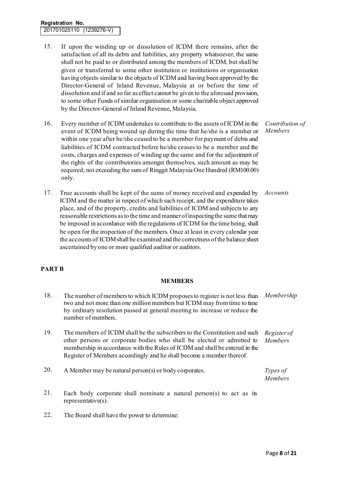#### **Registration No.** 201701025110 (1239276-V)

- 15. If upon the winding up or dissolution of ICDM there remains, after the satisfaction of all its debts and liabilities, any property whatsoever, the same shall not be paid to or distributed among the members of ICDM, but shall be given or transferred to some other institution or institutions or organisation having objects similar to the objects of ICDM and having been approved by the Director-General of lnland Revenue, Malaysia at or before the time of dissolution and if and so far as effect cannot be given to the aforesaid provision, to some other Funds of similar organisation or some charitable object approved by the Director-General of Inland Revenue, Malaysia.
- 16. Every member of ICDM undertakes to contribute to the assets of ICDM in the event of ICDM being wound up during the time that he/she is a member or within one year after he/she ceased to be a member for payment of debts and liabilities of ICDM contracted before he/she ceases to be a member and the costs, charges and expenses of winding up the same and for the adjustment of the rights of the contributories amongst themselves, such amount as may be required, not exceeding the sum of Ringgit Malaysia One Hundred (RM100.00) only.

*Contribution of Members* 

17. True accounts shall be kept of the sums of money received and expended by ICDM and the matter in respect of which such receipt, and the expenditure takes place, and of the property, credits and liabilities of ICDM and subjects to any reasonable restrictions as to the time and manner of inspecting the same that may be imposed in accordance with the regulations of ICDM for the time being, shall be open for the inspection of the members. Once at least in every calendar year the accounts of ICDM shall be examined and the correctness of the balance sheet ascertained by one or more qualified auditor or auditors. *Accounts*

# **PART B**

#### **MEMBERS**

- 18. The number of members to which ICDM proposes to register is not less than two and not more than one million members but ICDM may from time to time by ordinary resolution passed at general meeting to increase or reduce the number of members. *Membership*
- 19. The members of ICDM shall be the subscribers to the Constitution and such other persons or corporate bodies who shall be elected or admitted to membership in accordance with the Rules of ICDM and shall be entered in the Register of Members accordingly and he shall become a member thereof. *Register of Members*

| 20. | A Member may be natural person(s) or body corporates. | Types of       |
|-----|-------------------------------------------------------|----------------|
|     |                                                       | <i>Members</i> |

- 21. Each body corporate shall nominate a natural person(s) to act as its representative(s).
- 22. The Board shall have the power to determine: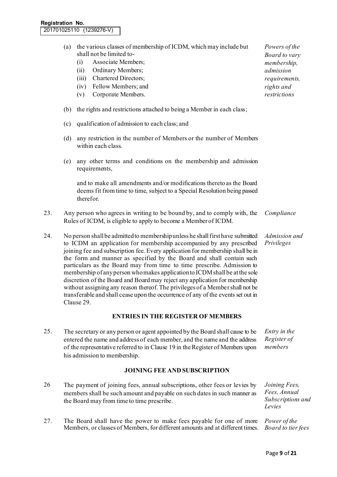- (a) the various classes of membership of ICDM, which may include but shall not be limited to-
	- (i) Associate Members;
	- (ii) Ordinary Members;
	- (iii) Chartered Directors;
	- (iv) Fellow Members; and
	- (v) Corporate Members.
- (b) the rights and restrictions attached to being a Member in each class;
- (c) qualification of admission to each class; and
- (d) any restriction in the number of Members or the number of Members within each class.
- (e) any other terms and conditions on the membership and admission requirements,

and to make all amendments and/or modifications thereto as the Board deems fit from time to time, subject to a Special Resolution being passed therefor.

- 23. Any person who agrees in writing to be bound by, and to comply with, the Rules of ICDM, is eligible to apply to become a Member of ICDM. *Compliance*
- 24. No person shall be admitted to membership unless he shall first have submitted to ICDM an application for membership accompanied by any prescribed joining fee and subscription fee. Every application for membership shall be in the form and manner as specified by the Board and shall contain such particulars as the Board may from time to time prescribe. Admission to membership of any person who makes application to ICDM shall be at the sole discretion of the Board and Board may reject any application for membership without assigning any reason thereof. The privileges of a Member shall not be transferable and shall cease upon the occurrence of any of the events set out in Clause 29. *Admission and Privileges*

#### **ENTRIES IN THE REGISTER OF MEMBERS**

25. The secretary or any person or agent appointed by the Board shall cause to be entered the name and address of each member, and the name and the address of the representative referred to in Clause 19 in the Register of Members upon his admission to membership. *Entry in the Register of members* 

#### **JOINING FEE AND SUBSCRIPTION**

- 26 The payment of joining fees, annual subscriptions, other fees or levies by members shall be such amount and payable on such dates in such manner as the Board may from time to time prescribe.
- 27. The Board shall have the power to make fees payable for one of more Members, or classes of Members, for different amounts and at different times.

*Powers of the Board to vary membership, admission requirements, rights and restrictions* 

*Joining Fees, Fees, Annual Subscriptions and Levies*

*Power of the Board to tier fees*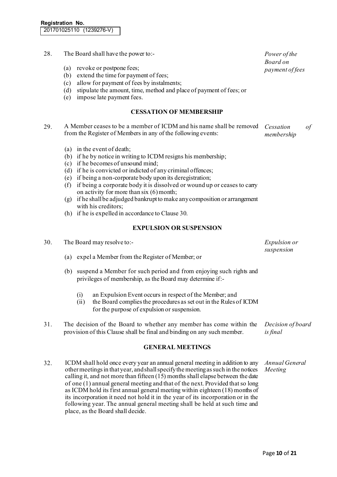| 28.                     | The Board shall have the power to:-                                                                                                                                                                                                                                                                                                                                                                                                                                                                                                                     | Power of the                       |  |
|-------------------------|---------------------------------------------------------------------------------------------------------------------------------------------------------------------------------------------------------------------------------------------------------------------------------------------------------------------------------------------------------------------------------------------------------------------------------------------------------------------------------------------------------------------------------------------------------|------------------------------------|--|
|                         | revoke or postpone fees;<br>(a)<br>extend the time for payment of fees;<br>(b)<br>allow for payment of fees by instalments;<br>(c)<br>stipulate the amount, time, method and place of payment of fees; or<br>(d)<br>impose late payment fees.<br>(e)                                                                                                                                                                                                                                                                                                    | <b>Board</b> on<br>payment of fees |  |
|                         | <b>CESSATION OF MEMBERSHIP</b>                                                                                                                                                                                                                                                                                                                                                                                                                                                                                                                          |                                    |  |
| 29.                     | A Member ceases to be a member of ICDM and his name shall be removed<br>from the Register of Members in any of the following events:                                                                                                                                                                                                                                                                                                                                                                                                                    | Cessation<br>of<br>membership      |  |
|                         | (a) in the event of death;<br>(b) if he by notice in writing to ICDM resigns his membership;<br>(c) if he becomes of unsound mind;<br>(d) if he is convicted or indicted of any criminal offences;<br>(e) if being a non-corporate body upon its deregistration;<br>(f) if being a corporate body it is dissolved or wound up or ceases to carry<br>on activity for more than six (6) month;<br>(g) if he shall be adjudged bankrupt to make any composition or arrangement<br>with his creditors;<br>(h) if he is expelled in accordance to Clause 30. |                                    |  |
|                         | <b>EXPULSION OR SUSPENSION</b>                                                                                                                                                                                                                                                                                                                                                                                                                                                                                                                          |                                    |  |
| 30.                     | The Board may resolve to:-<br>(a)                                                                                                                                                                                                                                                                                                                                                                                                                                                                                                                       | Expulsion or<br>suspension         |  |
|                         | expel a Member from the Register of Member; or<br>(b) suspend a Member for such period and from enjoying such rights and<br>privileges of membership, as the Board may determine if:-<br>an Expulsion Event occurs in respect of the Member; and<br>(i)<br>(ii) the Board complies the procedures as set out in the Rules of ICDM<br>for the purpose of expulsion or suspension.                                                                                                                                                                        |                                    |  |
| 31.                     | The decision of the Board to whether any member has come within the<br>provision of this Clause shall be final and binding on any such member.                                                                                                                                                                                                                                                                                                                                                                                                          | Decision of board<br>is final      |  |
| <b>GENERAL MEETINGS</b> |                                                                                                                                                                                                                                                                                                                                                                                                                                                                                                                                                         |                                    |  |
| 32.                     | ICDM shall hold once every year an annual general meeting in addition to any<br>other meetings in that year, and shall specify the meeting as such in the notices<br>calling it, and not more than fifteen $(15)$ months shall elapse between the date<br>of one (1) annual general meeting and that of the next. Provided that so long<br>as ICDM hold its first annual general meeting within eighteen (18) months of<br>its incorporation it need not hold it in the year of its incorporation or in the                                             | Annual General<br>Meeting          |  |

following year. The annual general meeting shall be held at such time and

place, as the Board shall decide.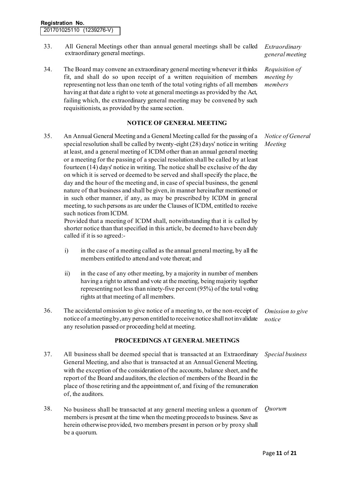- 33. All General Meetings other than annual general meetings shall be called extraordinary general meetings.
- 34. The Board may convene an extraordinary general meeting whenever it thinks fit, and shall do so upon receipt of a written requisition of members representing not less than one tenth of the total voting rights of all members having at that date a right to vote at general meetings as provided by the Act, failing which, the extraordinary general meeting may be convened by such requisitionists, as provided by the same section.

#### **NOTICE OF GENERAL MEETING**

35. An Annual General Meeting and a General Meeting called for the passing of a special resolution shall be called by twenty-eight (28) days' notice in writing at least, and a general meeting of ICDM other than an annual general meeting or a meeting for the passing of a special resolution shall be called by at least fourteen (14) days' notice in writing. The notice shall be exclusive of the day on which it is served or deemed to be served and shall specify the place, the day and the hour of the meeting and, in case of special business, the general nature of that business and shall be given, in manner hereinafter mentioned or in such other manner, if any, as may be prescribed by ICDM in general meeting, to such persons as are under the Clauses of ICDM, entitled to receive such notices from ICDM. *Meeting* 

Provided that a meeting of ICDM shall, notwithstanding that it is called by shorter notice than that specified in this article, be deemed to have been duly called if it is so agreed:-

- i) in the case of a meeting called as the annual general meeting, by all the members entitled to attend and vote thereat; and
- ii) in the case of any other meeting, by a majority in number of members having a right to attend and vote at the meeting, being majority together representing not less than ninety-five per cent (95%) of the total voting rights at that meeting of all members.
- 36. The accidental omission to give notice of a meeting to, or the non-receipt of notice of a meeting by, any person entitled to receive notice shall not invalidate any resolution passed or proceeding held at meeting. *Omission to give notice*

#### **PROCEEDINGS AT GENERAL MEETINGS**

- 37. All business shall be deemed special that is transacted at an Extraordinary General Meeting, and also that is transacted at an Annual General Meeting, with the exception of the consideration of the accounts, balance sheet, and the report of the Board and auditors, the election of members of the Board in the place of those retiring and the appointment of, and fixing of the remuneration of, the auditors. *Special business*
- 38. No business shall be transacted at any general meeting unless a quorum of members is present at the time when the meeting proceeds to business. Save as herein otherwise provided, two members present in person or by proxy shall be a quorum. *Quorum*

*Extraordinary general meeting* 

*Requisition of meeting by members* 

*Notice of General*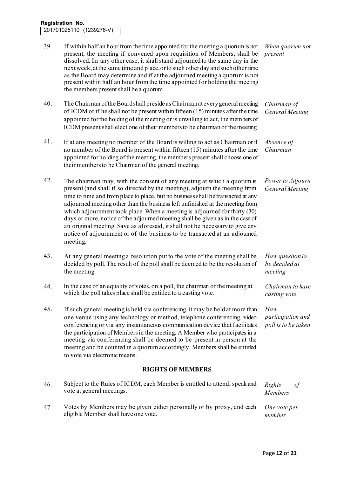| 39. | If within half an hour from the time appointed for the meeting a quorum is not<br>present, the meeting if convened upon requisition of Members, shall be<br>dissolved. In any other case, it shall stand adjourned to the same day in the<br>next week, at the same time and place, or to such other day and such other time<br>as the Board may determine and if at the adjourned meeting a quorum is not<br>present within half an hour from the time appointed for holding the meeting<br>the members present shall be a quorum.                                                                                                                                | When quorum not<br>present                      |  |  |
|-----|--------------------------------------------------------------------------------------------------------------------------------------------------------------------------------------------------------------------------------------------------------------------------------------------------------------------------------------------------------------------------------------------------------------------------------------------------------------------------------------------------------------------------------------------------------------------------------------------------------------------------------------------------------------------|-------------------------------------------------|--|--|
| 40. | The Chairman of the Board shall preside as Chairman at every general meeting<br>of ICDM or if he shall not be present within fifteen (15) minutes after the time<br>appointed for the holding of the meeting or is unwilling to act, the members of<br>ICDM present shall elect one of their members to be chairman of the meeting.                                                                                                                                                                                                                                                                                                                                | Chairman of<br><b>General Meeting</b>           |  |  |
| 41. | If at any meeting no member of the Board is willing to act as Chairman or if<br>no member of the Board is present within fifteen $(15)$ minutes after the time<br>appointed for holding of the meeting, the members present shall choose one of<br>their members to be Chairman of the general meeting.                                                                                                                                                                                                                                                                                                                                                            | Absence of<br>Chairman                          |  |  |
| 42. | The chairman may, with the consent of any meeting at which a quorum is<br>present (and shall if so directed by the meeting), adjourn the meeting from<br>time to time and from place to place, but no business shall be transacted at any<br>adjourned meeting other than the business left unfinished at the meeting from<br>which adjournment took place. When a meeting is adjourned for thirty (30)<br>days or more, notice of the adjourned meeting shall be given as in the case of<br>an original meeting. Save as aforesaid, it shall not be necessary to give any<br>notice of adjournment or of the business to be transacted at an adjoumed<br>meeting. | Power to Adjourn<br><b>General Meeting</b>      |  |  |
| 43. | At any general meeting a resolution put to the vote of the meeting shall be<br>decided by poll. The result of the poll shall be deemed to be the resolution of<br>the meeting.                                                                                                                                                                                                                                                                                                                                                                                                                                                                                     | How question to<br>be decided at<br>meeting     |  |  |
| 44. | In the case of an equality of votes, on a poll, the chairman of the meeting at<br>which the poll takes place shall be entitled to a casting vote.                                                                                                                                                                                                                                                                                                                                                                                                                                                                                                                  | Chairman to have<br>casting vote                |  |  |
| 45. | If such general meeting is held via conferencing, it may be held at more than<br>one venue using any technology or method, telephone conferencing, video<br>conferencing or via any instantaneous communication device that facilitates<br>the participation of Members in the meeting. A Member who participates in a<br>meeting via conferencing shall be deemed to be present in person at the<br>meeting and be counted in a quorum accordingly. Members shall be entitled<br>to vote via electronic means.                                                                                                                                                    | How<br>participation and<br>poll is to be taken |  |  |
|     | <b>RIGHTS OF MEMBERS</b>                                                                                                                                                                                                                                                                                                                                                                                                                                                                                                                                                                                                                                           |                                                 |  |  |
| 46. | Subject to the Rules of ICDM, each Member is entitled to attend, speak and<br>vote at general meetings.                                                                                                                                                                                                                                                                                                                                                                                                                                                                                                                                                            | Rights<br>of<br>Members                         |  |  |

47. Votes by Members may be given either personally or by proxy, and each eligible Member shall have one vote. *One vote per member*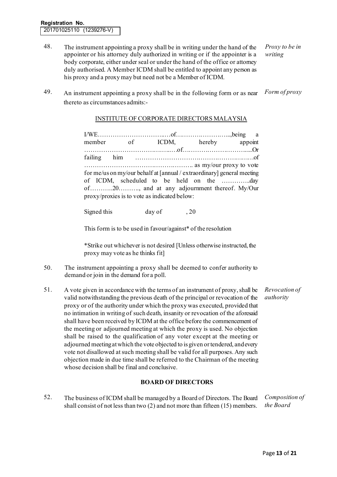- 48. The instrument appointing a proxy shall be in writing under the hand of the appointer or his attorney duly authorized in writing or if the appointer is a body corporate, either under seal or under the hand of the office or attorney duly authorised. A Member ICDM shall be entitled to appoint any person as his proxy and a proxy may but need not be a Member of ICDM. *Proxy to be in writing*
- 49. An instrument appointing a proxy shall be in the following form or as near thereto as circumstances admits:- *Form of proxy*

#### INSTITUTE OF CORPORATE DIRECTORS MALAYSIA

I/WE…………………………..…of……………………...,being a member of ICDM, hereby appoint ……………………………….…..…of………………………….....Or failing him …………………………………………………of ……………………………………………. as my/our proxy to vote for me/us on my/our behalf at [annual / extraordinary] general meeting of ICDM, scheduled to be held on the …………..day of………..20………., and at any adjournment thereof. My/Our proxy/proxies is to vote as indicated below:

Signed this day of 3.20

This form is to be used in favour/against\* of the resolution

\*Strike out whichever is not desired [Unless otherwise instructed, the proxy may vote as he thinks fit]

- 50. The instrument appointing a proxy shall be deemed to confer authority to demand or join in the demand for a poll.
- 51. A vote given in accordance with the terms of an instrument of proxy, shall be valid notwithstanding the previous death of the principal or revocation of the proxy or of the authority under which the proxy was executed, provided that no intimation in writing of such death, insanity or revocation of the aforesaid shall have been received by ICDM at the office before the commencement of the meeting or adjourned meeting at which the proxy is used. No objection shall be raised to the qualification of any voter except at the meeting or adjourned meeting at which the vote objected to is given or tendered, and every vote not disallowed at such meeting shall be valid for all purposes. Any such objection made in due time shall be referred to the Chairman of the meeting whose decision shall be final and conclusive. *Revocation of authority*

### **BOARD OF DIRECTORS**

52. The business of ICDM shall be managed by a Board of Directors. The Board shall consist of not less than two (2) and not more than fifteen (15) members. *Composition of the Board*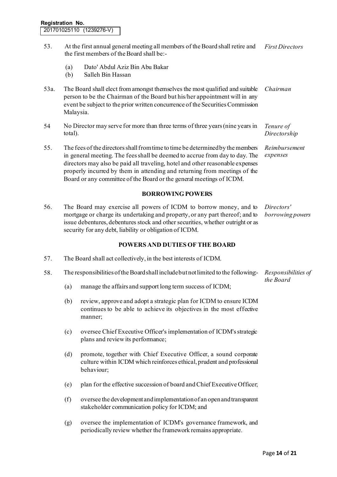- 53. At the first annual general meeting all members of the Board shall retire and the first members of the Board shall be:- *First Directors* 
	- (a) Dato' Abdul Aziz Bin Abu Bakar
	- (b) Salleh Bin Hassan
- 53a. The Board shall elect from amongst themselves the most qualified and suitable person to be the Chairman of the Board but his/her appointment will in any event be subject to the prior written concurrence of the Securities Commission Malaysia. *Chairman*
- 54 No Director may serve for more than three terms of three years (nine years in total). *Tenure of Directorship*
- 55. The fees of the directors shall from time to time be determined by the members in general meeting. The fees shall be deemed to accrue from day to day. The directors may also be paid all traveling, hotel and other reasonable expenses properly incurred by them in attending and returning from meetings of the Board or any committee of the Board or the general meetings of ICDM. *Reimbursement expenses*

#### **BORROWING POWERS**

56. The Board may exercise all powers of ICDM to borrow money, and to mortgage or charge its undertaking and property, or any part thereof; and to issue debentures, debentures stock and other securities, whether outright or as security for any debt, liability or obligation of ICDM. *Directors' borrowing powers* 

#### **POWERS AND DUTIES OF THE BOARD**

- 57. The Board shall act collectively, in the best interests of ICDM.
- 58. The responsibilities of the Board shall include but not limited to the following:- *Responsibilities of* 
	- (a) manage the affairs and support long term success of ICDM;
	- (b) review, approve and adopt a strategic plan for ICDM to ensure ICDM continues to be able to achieve its objectives in the most effective manner;
	- (c) oversee Chief Executive Officer's implementation of ICDM's strategic plans and review its performance;
	- (d) promote, together with Chief Executive Officer, a sound corporate culture within ICDM which reinforces ethical, prudent and professional behaviour;
	- (e) plan for the effective succession of board and Chief Executive Officer;
	- (f) oversee the development and implementation of an open and transparent stakeholder communication policy for ICDM; and
	- (g) oversee the implementation of ICDM's governance framework, and periodically review whether the framework remains appropriate.

*the Board*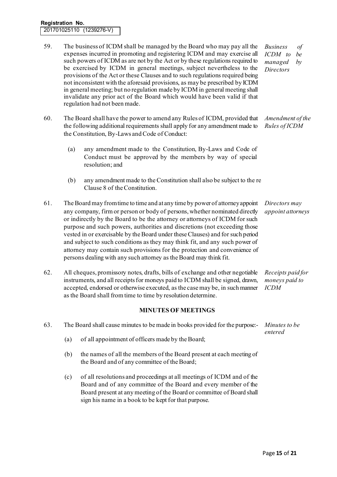#### **Registration No.** 201701025110 (1239276-V)

- 59. The business of ICDM shall be managed by the Board who may pay all the expenses incurred in promoting and registering ICDM and may exercise all such powers of ICDM as are not by the Act or by these regulations required to be exercised by ICDM in general meetings, subject nevertheless to the provisions of the Act or these Clauses and to such regulations required being not inconsistent with the aforesaid provisions, as may be prescribed by ICDM in general meeting; but no regulation made by ICDM in general meeting shall invalidate any prior act of the Board which would have been valid if that regulation had not been made. *Business of ICDM to be managed by Directors*
- 60. The Board shall have the power to amend any Rules of ICDM, provided that the following additional requirements shall apply for any amendment made to the Constitution, By-Laws and Code of Conduct: *Amendment of the Rules of ICDM* 
	- (a) any amendment made to the Constitution, By-Laws and Code of Conduct must be approved by the members by way of special resolution; and
	- $(b)$  any amendment made to the Constitution shall also be subject to the requirements in Clause 8 of the Constitution.
- 61. The Board may from time to time and at any time by power of attorney appoint any company, firm or person or body of persons, whether nominated directly or indirectly by the Board to be the attorney or attorneys of ICDM for such purpose and such powers, authorities and discretions (not exceeding those vested in or exercisable by the Board under these Clauses) and for such period and subject to such conditions as they may think fit, and any such power of attorney may contain such provisions for the protection and convenience of persons dealing with any such attorney as the Board may think fit. *Directors may appoint attorneys*
- 62. All cheques, promissory notes, drafts, bills of exchange and other negotiable instruments, and all receipts for moneys paid to ICDM shall be signed, drawn, accepted, endorsed or otherwise executed, as the case may be, in such manner as the Board shall from time to time by resolution determine. *Receipts paid for moneys paid to ICDM*

# **MINUTES OF MEETINGS**

| 63. | The Board shall cause minutes to be made in books provided for the purpose:- |                                                                                                                      | Minutes to be<br>entered |
|-----|------------------------------------------------------------------------------|----------------------------------------------------------------------------------------------------------------------|--------------------------|
|     | (a)                                                                          | of all appointment of officers made by the Board;                                                                    |                          |
|     | (b)                                                                          | the names of all the members of the Board present at each meeting of<br>the Board and of any committee of the Board; |                          |

(c) of all resolutions and proceedings at all meetings of ICDM and of the Board and of any committee of the Board and every member of the Board present at any meeting of the Board or committee of Board shall sign his name in a book to be kept for that purpose.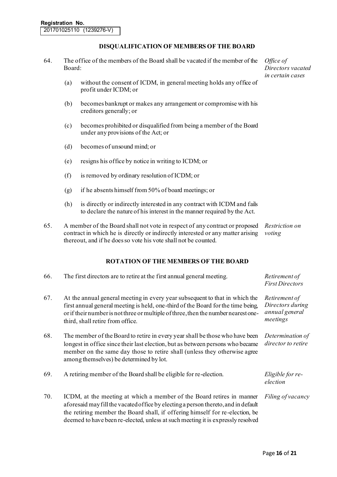# **DISQUALIFICATION OF MEMBERS OF THE BOARD**

- 64. The office of the members of the Board shall be vacated if the member of the Board:
	- (a) without the consent of ICDM, in general meeting holds any office of profit under ICDM; or
	- (b) becomes bankrupt or makes any arrangement or compromise with his creditors generally; or
	- (c) becomes prohibited or disqualified from being a member of the Board under any provisions of the Act; or
	- (d) becomes of unsound mind; or
	- (e) resigns his office by notice in writing to ICDM; or
	- (f) is removed by ordinary resolution of ICDM; or
	- (g) if he absents himself from  $50\%$  of board meetings; or
	- (h) is directly or indirectly interested in any contract with ICDM and fails to declare the nature of his interest in the manner required by the Act.
- 65. A member of the Board shall not vote in respect of any contract or proposed *Restriction on*  contract in which he is directly or indirectly interested or any matter arising *voting* thereout, and if he does so vote his vote shall not be counted.

#### **ROTATION OF THE MEMBERS OF THE BOARD**

| 66. | The first directors are to retire at the first annual general meeting.                                                                                                                                                                                                                                                         | Retirement of<br><b>First Directors</b>                         |
|-----|--------------------------------------------------------------------------------------------------------------------------------------------------------------------------------------------------------------------------------------------------------------------------------------------------------------------------------|-----------------------------------------------------------------|
| 67. | At the annual general meeting in every year subsequent to that in which the<br>first annual general meeting is held, one-third of the Board for the time being,<br>or if their number is not three or multiple of three, then the number nearest one-<br>third, shall retire from office.                                      | Retirement of<br>Directors during<br>annual general<br>meetings |
| 68. | The member of the Board to retire in every year shall be those who have been<br>longest in office since their last election, but as between persons who became<br>member on the same day those to retire shall (unless they otherwise agree<br>among themselves) be determined by lot.                                         | Determination of<br>director to retire                          |
| 69. | A retiring member of the Board shall be eligible for re-election.                                                                                                                                                                                                                                                              | Eligible for re-<br>election                                    |
| 70. | ICDM, at the meeting at which a member of the Board retires in manner<br>aforesaid may fill the vacated office by electing a person thereto, and in default<br>the retiring member the Board shall, if offering himself for re-election, be<br>deemed to have been re-elected, unless at such meeting it is expressly resolved | Filing of vacancy                                               |

*Office of Directors vacated in certain cases*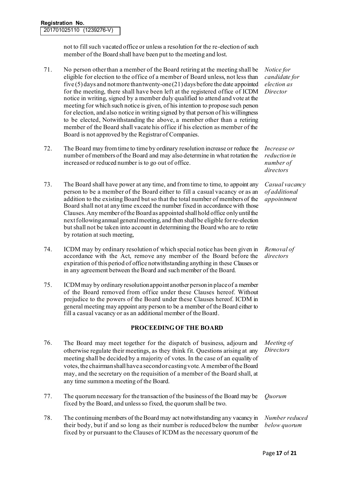not to fill such vacated office or unless a resolution for the re-election of such member of the Board shall have been put to the meeting and lost.

- 71. No person other than a member of the Board retiring at the meeting shall be eligible for election to the office of a member of Board unless, not less than five  $(5)$  days and not more than twenty-one  $(21)$  days before the date appointed for the meeting, there shall have been left at the registered office of ICDM notice in writing, signed by a member duly qualified to attend and vote at the meeting for which such notice is given, of his intention to propose such person for election, and also notice in writing signed by that person of his willingness to be elected, Notwithstanding the above, a member other than a retiring member of the Board shall vacate his office if his election as member of the Board is not approved by the Registrar of Companies.
- 72. The Board may from time to time by ordinary resolution increase or reduce the number of members of the Board and may also determine in what rotation the increased or reduced number is to go out of office.
- 73. The Board shall have power at any time, and from time to time, to appoint any person to be a member of the Board either to fill a casual vacancy or as an addition to the existing Board but so that the total number of members of the Board shall not at any time exceed the number fixed in accordance with those Clauses. Any member of the Board as appointed shall hold office only until the next following annual general meeting, and then shall be eligible for re-election but shall not be taken into account in determining the Board who are to retire by rotation at such meeting,
- 74. ICDM may by ordinary resolution of which special notice has been given in accordance with the Act, remove any member of the Board before the expiration of this period of office notwithstanding anything in these Clauses or in any agreement between the Board and such member of the Board.
- 75. ICDM may by ordinary resolution appoint another person in place of a member of the Board removed from office under these Clauses hereof. Without prejudice to the powers of the Board under these Clauses hereof. ICDM in general meeting may appoint any person to be a member of the Board either to fill a casual vacancy or as an additional member of the Board.

# **PROCEEDING OF THE BOARD**

- 76. The Board may meet together for the dispatch of business, adjourn and otherwise regulate their meetings, as they think fit. Questions arising at any meeting shall be decided by a majority of votes. In the case of an equality of votes, the chairman shall have a second or casting vote. A member of the Board may, and the secretary on the requisition of a member of the Board shall, at any time summon a meeting of the Board. *Meeting of Directors*
- 77. The quorum necessary for the transaction of the business of the Board may be fixed by the Board, and unless so fixed, the quorum shall be two. *Quorum*
- 78. The continuing members of the Board may act notwithstanding any vacancy in their body, but if and so long as their number is reduced below the number fixed by or pursuant to the Clauses of ICDM as the necessary quorum of the *Number reduced below quorum*

*Notice for candidate for election as Director*

*Increase or reduction in number of directors*

*Casual vacancy of additional appointment*

*Removal of directors*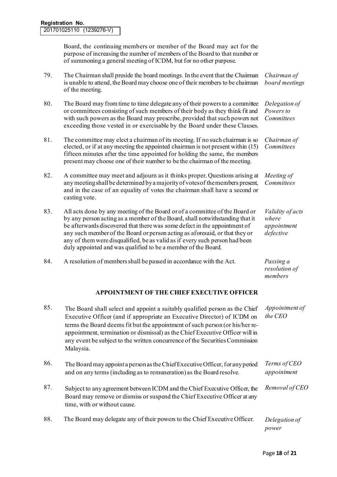Board, the continuing members or member of the Board may act for the purpose of increasing the number of members of the Board to that number or of summoning a general meeting of ICDM, but for no other purpose.

| 79. | The Chairman shall preside the board meetings. In the event that the Chairman<br>is unable to attend, the Board may choose one of their members to be chairman<br>of the meeting.                                                                                                                                                                                                                                                                                       | Chairman of<br>board meetings                         |
|-----|-------------------------------------------------------------------------------------------------------------------------------------------------------------------------------------------------------------------------------------------------------------------------------------------------------------------------------------------------------------------------------------------------------------------------------------------------------------------------|-------------------------------------------------------|
| 80. | The Board may from time to time delegate any of their powers to a committee<br>or committees consisting of such members of their body as they think fit and<br>with such powers as the Board may prescribe, provided that such powers not<br>exceeding those vested in or exercisable by the Board under these Clauses.                                                                                                                                                 | Delegation of<br>Powers to<br>Committees              |
| 81. | The committee may elect a chairman of its meeting. If no such chairman is so<br>elected, or if at any meeting the appointed chairman is not present within (15)<br>fifteen minutes after the time appointed for holding the same, the members<br>present may choose one of their number to be the chairman of the meeting.                                                                                                                                              | Chairman of<br>Committees                             |
| 82. | A committee may meet and adjourn as it thinks proper. Questions arising at<br>any meeting shall be determined by a majority of votes of the members present,<br>and in the case of an equality of votes the chairman shall have a second or<br>casting vote.                                                                                                                                                                                                            | Meeting of<br>Committees                              |
| 83. | All acts done by any meeting of the Board or of a committee of the Board or<br>by any person acting as a member of the Board, shall notwithstanding that it<br>be afterwards discovered that there was some defect in the appointment of<br>any such member of the Board or person acting as aforesaid, or that they or<br>any of them were disqualified, be as valid as if every such person had been<br>duly appointed and was qualified to be a member of the Board. | Validity of acts<br>where<br>appointment<br>defective |
| 84. | A resolution of members shall be passed in accordance with the Act.                                                                                                                                                                                                                                                                                                                                                                                                     | Passing a<br>resolution of<br>members                 |

# **APPOINTMENT OF THE CHIEF EXECUTIVE OFFICER**

| 85. | The Board shall select and appoint a suitably qualified person as the Chief<br>Executive Officer (and if appropriate an Executive Director) of ICDM on<br>terms the Board deems fit but the appointment of such person (or his/her re-<br>appointment, termination or dismissal) as the Chief Executive Officer will in<br>any event be subject to the written concurrence of the Securities Commission<br>Malaysia. | Appointment of<br>the CEO   |
|-----|----------------------------------------------------------------------------------------------------------------------------------------------------------------------------------------------------------------------------------------------------------------------------------------------------------------------------------------------------------------------------------------------------------------------|-----------------------------|
| 86. | The Board may appoint a person as the Chief Executive Officer, for any period<br>and on any terms (including as to remuneration) as the Board resolve.                                                                                                                                                                                                                                                               | Terms of CEO<br>appointment |
| 87. | Subject to any agreement between ICDM and the Chief Executive Officer, the<br>Board may remove or dismiss or suspend the Chief Executive Officer at any<br>time, with or without cause.                                                                                                                                                                                                                              | Removal of CEO              |
| 88. | The Board may delegate any of their powers to the Chief Executive Officer.                                                                                                                                                                                                                                                                                                                                           | Delegation of<br>power      |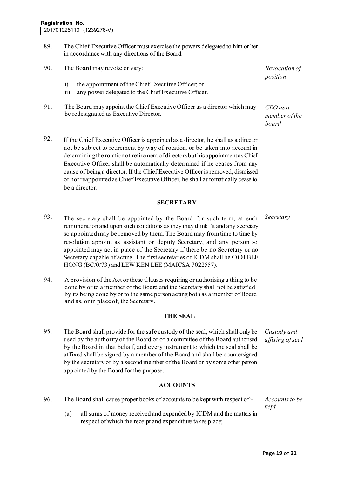- 89. The Chief Executive Officer must exercise the powers delegated to him or her in accordance with any directions of the Board.
- 90. The Board may revoke or vary: *Revocation of* 
	- i) the appointment of the Chief Executive Officer; or
	- ii) any power delegated to the Chief Executive Officer.
- 91. The Board may appoint the Chief Executive Officer as a director which may be redesignated as Executive Director.
- 92. If the Chief Executive Officer is appointed as a director, he shall as a director not be subject to retirement by way of rotation, or be taken into account in determining the rotation of retirement of directors but his appointment as Chief Executive Officer shall be automatically determined if he ceases from any cause of being a director. If the Chief Executive Officer is removed, dismissed or not reappointed as Chief Executive Officer, he shall automatically cease to be a director.

#### **SECRETARY**

- 93. The secretary shall be appointed by the Board for such term, at such remuneration and upon such conditions as they may think fit and any secretary so appointed may be removed by them. The Board may from time to time by resolution appoint as assistant or deputy Secretary, and any person so appointed may act in place of the Secretary if there be no Secretary or no Secretary capable of acting. The first secretaries of ICDM shall be OOI BEE HONG (BC/0/73) and LEW KEN LEE (MAICSA 7022557).
- 94. A provision of the Act or these Clauses requiring or authorising a thing to be done by or to a member of the Board and the Secretary shall not be satisfied by its being done by or to the same person acting both as a member of Board and as, or in place of, the Secretary.

#### **THE SEAL**

95. The Board shall provide for the safe custody of the seal, which shall only be used by the authority of the Board or of a committee of the Board authorised by the Board in that behalf, and every instrument to which the seal shall be affixed shall be signed by a member of the Board and shall be countersigned by the secretary or by a second member of the Board or by some other person appointed by the Board for the purpose.

#### **ACCOUNTS**

- 96. The Board shall cause proper books of accounts to be kept with respect of:- *Accounts to be* 
	- (a) all sums of money received and expended by ICDM and the matters in respect of which the receipt and expenditure takes place;

*position* 

*CEO as a member of the board* 

*Secretary*

*Custody and affixing of seal* 

*kept*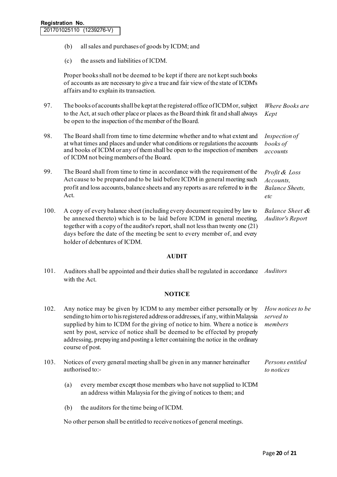- (b) all sales and purchases of goods by ICDM; and
- (c) the assets and liabilities of ICDM.

Proper books shall not be deemed to be kept if there are not kept such books of accounts as are necessary to give a true and fair view of the state of ICDM's affairs and to explain its transaction.

- 97. The books of accounts shall be kept at the registered office of ICDM or, subject to the Act, at such other place or places as the Board think fit and shall always be open to the inspection of the member of the Board. *Where Books are Kept*
- 98. The Board shall from time to time determine whether and to what extent and at what times and places and under what conditions or regulations the accounts and books of ICDM or any of them shall be open to the inspection of members of ICDM not being members of the Board. *Inspection of books of accounts*
- 99. The Board shall from time to time in accordance with the requirement of the Act cause to be prepared and to be laid before ICDM in general meeting such profit and loss accounts, balance sheets and any reports as are referred to in the Act. *Profit & Loss Accounts, Balance Sheets, etc*
- 100. A copy of every balance sheet (including every document required by law to be annexed thereto) which is to be laid before ICDM in general meeting, together with a copy of the auditor's report, shall not less than twenty one (21) days before the date of the meeting be sent to every member of, and every holder of debentures of ICDM. *Balance Sheet & Auditor's Report*

**AUDIT**

101. Auditors shall be appointed and their duties shall be regulated in accordance *Auditors* with the Act.

#### **NOTICE**

- 102. Any notice may be given by ICDM to any member either personally or by sending to him or to his registered address or addresses, if any, within Malaysia supplied by him to ICDM for the giving of notice to him. Where a notice is sent by post, service of notice shall be deemed to be effected by properly addressing, prepaying and posting a letter containing the notice in the ordinary course of post. *How notices to be served to members*  103. Notices of every general meeting shall be given in any manner hereinafter authorised to:- *Persons entitled to notices*  (a) every member except those members who have not supplied to ICDM
	- an address within Malaysia for the giving of notices to them; and
	- (b) the auditors for the time being of ICDM.

No other person shall be entitled to receive notices of general meetings.